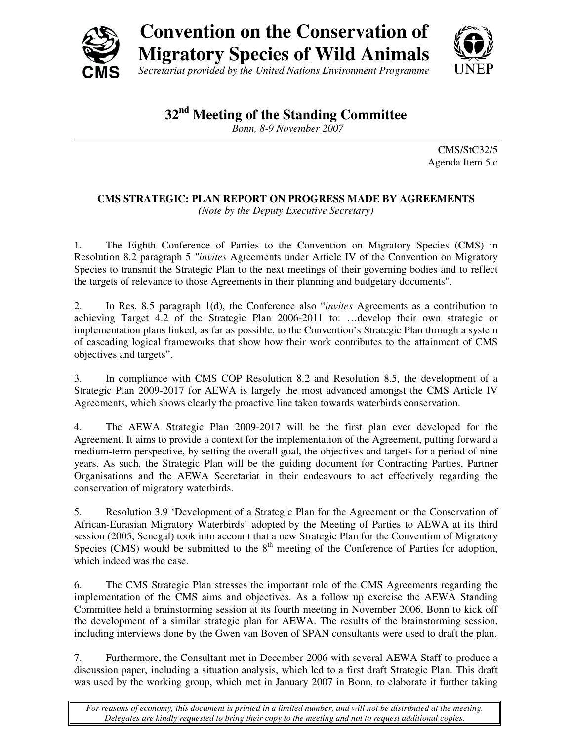

## **32nd Meeting of the Standing Committee**

*Bonn, 8-9 November 2007* 

CMS/StC32/5 Agenda Item 5.c

## **CMS STRATEGIC: PLAN REPORT ON PROGRESS MADE BY AGREEMENTS**  *(Note by the Deputy Executive Secretary)*

1. The Eighth Conference of Parties to the Convention on Migratory Species (CMS) in Resolution 8.2 paragraph 5 *"invites* Agreements under Article IV of the Convention on Migratory Species to transmit the Strategic Plan to the next meetings of their governing bodies and to reflect the targets of relevance to those Agreements in their planning and budgetary documents".

2. In Res. 8.5 paragraph 1(d), the Conference also "*invites* Agreements as a contribution to achieving Target 4.2 of the Strategic Plan 2006-2011 to: …develop their own strategic or implementation plans linked, as far as possible, to the Convention's Strategic Plan through a system of cascading logical frameworks that show how their work contributes to the attainment of CMS objectives and targets".

3. In compliance with CMS COP Resolution 8.2 and Resolution 8.5, the development of a Strategic Plan 2009-2017 for AEWA is largely the most advanced amongst the CMS Article IV Agreements, which shows clearly the proactive line taken towards waterbirds conservation.

4. The AEWA Strategic Plan 2009-2017 will be the first plan ever developed for the Agreement. It aims to provide a context for the implementation of the Agreement, putting forward a medium-term perspective, by setting the overall goal, the objectives and targets for a period of nine years. As such, the Strategic Plan will be the guiding document for Contracting Parties, Partner Organisations and the AEWA Secretariat in their endeavours to act effectively regarding the conservation of migratory waterbirds.

5. Resolution 3.9 'Development of a Strategic Plan for the Agreement on the Conservation of African-Eurasian Migratory Waterbirds' adopted by the Meeting of Parties to AEWA at its third session (2005, Senegal) took into account that a new Strategic Plan for the Convention of Migratory Species (CMS) would be submitted to the  $8<sup>th</sup>$  meeting of the Conference of Parties for adoption, which indeed was the case.

6. The CMS Strategic Plan stresses the important role of the CMS Agreements regarding the implementation of the CMS aims and objectives. As a follow up exercise the AEWA Standing Committee held a brainstorming session at its fourth meeting in November 2006, Bonn to kick off the development of a similar strategic plan for AEWA. The results of the brainstorming session, including interviews done by the Gwen van Boven of SPAN consultants were used to draft the plan.

7. Furthermore, the Consultant met in December 2006 with several AEWA Staff to produce a discussion paper, including a situation analysis, which led to a first draft Strategic Plan. This draft was used by the working group, which met in January 2007 in Bonn, to elaborate it further taking

*For reasons of economy, this document is printed in a limited number, and will not be distributed at the meeting. Delegates are kindly requested to bring their copy to the meeting and not to request additional copies.*